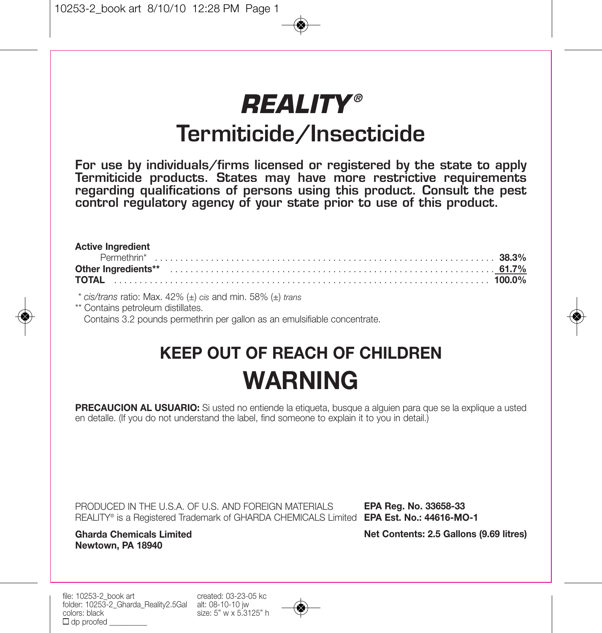10253-2\_book art 8/10/10 12:28 PM Page 1

# **REALITY® Termiticide/Insecticide**

**For use by individuals/firms licensed or registered by the state to apply Termiticide products. States may have more restrictive requirements regarding qualifications of persons using this product. Consult the pest control regulatory agency of your state prior to use of this product.**

#### **Active Ingredient**

| Other Ingredients** indication is a constant of the contract of the constraint of the constraint of the constant of the constant of the constraint of the constraint of the constraint of the constraint of the constraint of |  |
|-------------------------------------------------------------------------------------------------------------------------------------------------------------------------------------------------------------------------------|--|
|                                                                                                                                                                                                                               |  |

\*.*cis/trans* ratio: Max. 42% (±) *cis* and min. 58% (±) *trans*

\*\* Contains petroleum distillates.

.Contains 3.2 pounds permethrin per gallon as an emulsifiable concentrate.

## **KEEP OUT OF REACH OF CHILDREN WARNING**

**PRECAUCION AL USUARIO:** Si usted no entiende la etiqueta, busque a alguien para que se la explique a usted en detalle. (If you do not understand the label, find someone to explain it to you in detail.)

PRODUCED IN THE U.S.A. OF U.S. AND FOREIGN MATERIALS. REALITY® is a Registered Trademark of GHARDA CHEMICALS Limited **EPA Est. No.: 44616-MO-1**

**EPA Reg. No. 33658-33**

**Gharda Chemicals Limited Newtown, PA 18940**

**Net Contents: 2.5 Gallons (9.69 litres)**

file: 10253-2\_book art created: 03-23-05 kc folder: 10253-2\_Gharda\_Reality2.5Gal alt: 08-10-10 jw  $\square$  dp proofed

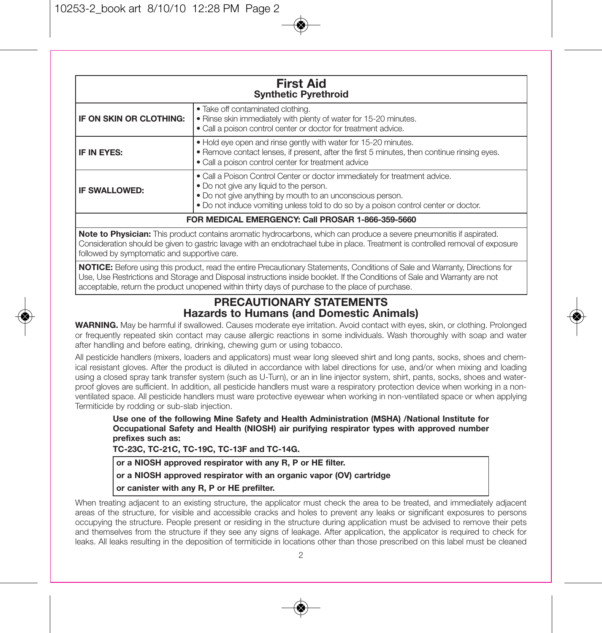|                         | <b>First Aid</b><br><b>Synthetic Pyrethroid</b>                                                                                                                                                                                                                           |
|-------------------------|---------------------------------------------------------------------------------------------------------------------------------------------------------------------------------------------------------------------------------------------------------------------------|
| IF ON SKIN OR CLOTHING: | • Take off contaminated clothing.<br>. Rinse skin immediately with plenty of water for 15-20 minutes.<br>• Call a poison control center or doctor for treatment advice.                                                                                                   |
| IF IN EYES:             | . Hold eye open and rinse gently with water for 15-20 minutes.<br>. Remove contact lenses, if present, after the first 5 minutes, then continue rinsing eyes.<br>· Call a poison control center for treatment advice                                                      |
| IF SWALLOWED:           | • Call a Poison Control Center or doctor immediately for treatment advice.<br>. Do not give any liquid to the person.<br>. Do not give anything by mouth to an unconscious person.<br>. Do not induce vomiting unless told to do so by a poison control center or doctor. |
|                         | FOR MEDICAL EMERGENCY: Call PROSAR 1-866-359-5660                                                                                                                                                                                                                         |

**Note to Physician:** This product contains aromatic hydrocarbons, which can produce a severe pneumonitis if aspirated. Consideration should be given to gastric lavage with an endotrachael tube in place. Treatment is controlled removal of exposure followed by symptomatic and supportive care.

**NOTICE:** Before using this product, read the entire Precautionary Statements, Conditions of Sale and Warranty, Directions for Use, Use Restrictions and Storage and Disposal instructions inside booklet. If the Conditions of Sale and Warranty are not acceptable, return the product unopened within thirty days of purchase to the place of purchase.

## **PRECAUTIONARY STATEMENTS Hazards to Humans (and Domestic Animals)**

**WARNING.** May be harmful if swallowed. Causes moderate eye irritation. Avoid contact with eyes, skin, or clothing. Prolonged or frequently repeated skin contact may cause allergic reactions in some individuals. Wash thoroughly with soap and water after handling and before eating, drinking, chewing gum or using tobacco.

All pesticide handlers (mixers, loaders and applicators) must wear long sleeved shirt and long pants, socks, shoes and chemical resistant gloves. After the product is diluted in accordance with label directions for use, and/or when mixing and loading using a closed spray tank transfer system (such as U-Turn), or an in line injector system, shirt, pants, socks, shoes and waterproof gloves are sufficient. In addition, all pesticide handlers must ware a respiratory protection device when working in a nonventilated space. All pesticide handlers must ware protective eyewear when working in non-ventilated space or when applying Termiticide by rodding or sub-slab injection.

**Use one of the following Mine Safety and Health Administration (MSHA) /National Institute for Occupational Safety and Health (NIOSH) air purifying respirator types with approved number prefixes such as:**

**TC-23C, TC-21C, TC-19C, TC-13F and TC-14G.**

**or a NIOSH approved respirator with any R, P or HE filter.**

**or a NIOSH approved respirator with an organic vapor (OV) cartridge**

**or canister with any R, P or HE prefilter.**

When treating adjacent to an existing structure, the applicator must check the area to be treated, and immediately adjacent areas of the structure, for visible and accessible cracks and holes to prevent any leaks or significant exposures to persons occupying the structure. People present or residing in the structure during application must be advised to remove their pets and themselves from the structure if they see any signs of leakage. After application, the applicator is required to check for leaks. All leaks resulting in the deposition of termiticide in locations other than those prescribed on this label must be cleaned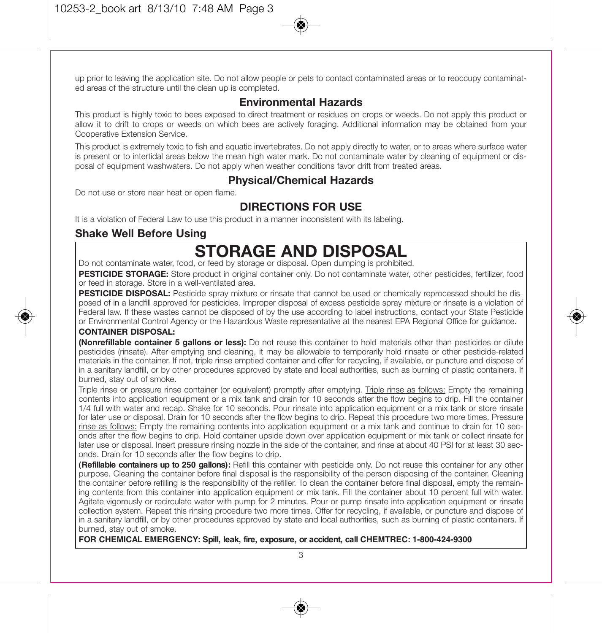up prior to leaving the application site. Do not allow people or pets to contact contaminated areas or to reoccupy contaminated areas of the structure until the clean up is completed.

### **Environmental Hazards**

This product is highly toxic to bees exposed to direct treatment or residues on crops or weeds. Do not apply this product or allow it to drift to crops or weeds on which bees are actively foraging. Additional information may be obtained from your Cooperative Extension Service.

This product is extremely toxic to fish and aquatic invertebrates. Do not apply directly to water, or to areas where surface water is present or to intertidal areas below the mean high water mark. Do not contaminate water by cleaning of equipment or disposal of equipment washwaters. Do not apply when weather conditions favor drift from treated areas.

## **Physical/Chemical Hazards**

Do not use or store near heat or open flame.

## **DIRECTIONS FOR USE**

It is a violation of Federal Law to use this product in a manner inconsistent with its labeling.

## **Shake Well Before Using**

## **STORAGE AND DISPOSAL**

Do not contaminate water, food, or feed by storage or disposal. Open dumping is prohibited.

**PESTICIDE STORAGE:** Store product in original container only. Do not contaminate water, other pesticides, fertilizer, food or feed in storage. Store in a well-ventilated area.

**PESTICIDE DISPOSAL:** Pesticide spray mixture or rinsate that cannot be used or chemically reprocessed should be disposed of in a landfill approved for pesticides. Improper disposal of excess pesticide spray mixture or rinsate is a violation of Federal law. If these wastes cannot be disposed of by the use according to label instructions, contact your State Pesticide or Environmental Control Agency or the Hazardous Waste representative at the nearest EPA Regional Office for guidance.

#### **CONTAINER DISPOSAL:**

**(Nonrefillable container 5 gallons or less):** Do not reuse this container to hold materials other than pesticides or dilute pesticides (rinsate). After emptying and cleaning, it may be allowable to temporarily hold rinsate or other pesticide-related materials in the container. If not, triple rinse emptied container and offer for recycling, if available, or puncture and dispose of in a sanitary landfill, or by other procedures approved by state and local authorities, such as burning of plastic containers. If burned, stay out of smoke.

Triple rinse or pressure rinse container (or equivalent) promptly after emptying. Triple rinse as follows: Empty the remaining contents into application equipment or a mix tank and drain for 10 seconds after the flow begins to drip. Fill the container 1/4 full with water and recap. Shake for 10 seconds. Pour rinsate into application equipment or a mix tank or store rinsate for later use or disposal. Drain for 10 seconds after the flow begins to drip. Repeat this procedure two more times. Pressure rinse as follows: Empty the remaining contents into application equipment or a mix tank and continue to drain for 10 seconds after the flow begins to drip. Hold container upside down over application equipment or mix tank or collect rinsate for later use or disposal. Insert pressure rinsing nozzle in the side of the container, and rinse at about 40 PSI for at least 30 seconds. Drain for 10 seconds after the flow begins to drip.

**(Refillable containers up to 250 gallons):** Refill this container with pesticide only. Do not reuse this container for any other purpose. Cleaning the container before final disposal is the responsibility of the person disposing of the container. Cleaning the container before refilling is the responsibility of the refiller. To clean the container before final disposal, empty the remaining contents from this container into application equipment or mix tank. Fill the container about 10 percent full with water. Agitate vigorously or recirculate water with pump for 2 minutes. Pour or pump rinsate into application equipment or rinsate collection system. Repeat this rinsing procedure two more times. Offer for recycling, if available, or puncture and dispose of in a sanitary landfill, or by other procedures approved by state and local authorities, such as burning of plastic containers. If burned, stay out of smoke.

**FOR CHEMICAL EMERGENCY: Spill, leak, fire, exposure, or accident, call CHEMTREC: 1-800-424-9300**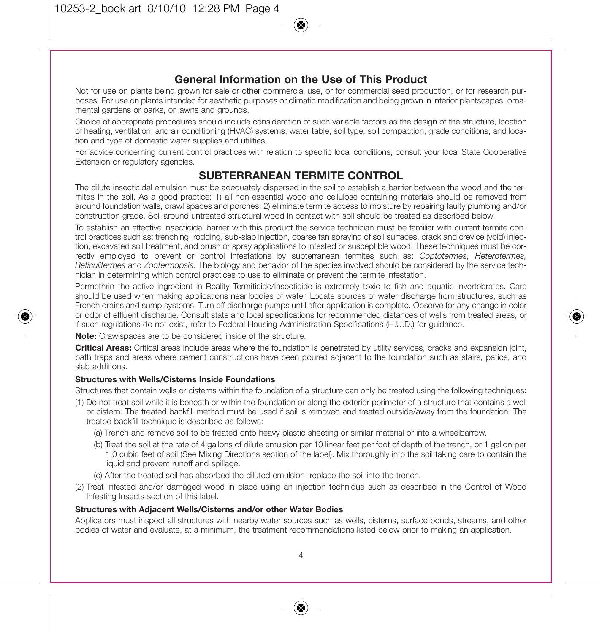### **General Information on the Use of This Product**

Not for use on plants being grown for sale or other commercial use, or for commercial seed production, or for research purposes. For use on plants intended for aesthetic purposes or climatic modification and being grown in interior plantscapes, ornamental gardens or parks, or lawns and grounds.

Choice of appropriate procedures should include consideration of such variable factors as the design of the structure, location of heating, ventilation, and air conditioning (HVAC) systems, water table, soil type, soil compaction, grade conditions, and location and type of domestic water supplies and utilities.

For advice concerning current control practices with relation to specific local conditions, consult your local State Cooperative Extension or regulatory agencies.

## **SUBTERRANEAN TERMITE CONTROL**

The dilute insecticidal emulsion must be adequately dispersed in the soil to establish a barrier between the wood and the termites in the soil. As a good practice: 1) all non-essential wood and cellulose containing materials should be removed from around foundation walls, crawl spaces and porches: 2) eliminate termite access to moisture by repairing faulty plumbing and/or construction grade. Soil around untreated structural wood in contact with soil should be treated as described below.

To establish an effective insecticidal barrier with this product the service technician must be familiar with current termite control practices such as: trenching, rodding, sub-slab injection, coarse fan spraying of soil surfaces, crack and crevice (void) injection, excavated soil treatment, and brush or spray applications to infested or susceptible wood. These techniques must be correctly employed to prevent or control infestations by subterranean termites such as: *Coptotermes, Heterotermes, Reticulitermes* and *Zootermopsis*. The biology and behavior of the species involved should be considered by the service technician in determining which control practices to use to eliminate or prevent the termite infestation.

Permethrin the active ingredient in Reality Termiticide/Insecticide is extremely toxic to fish and aquatic invertebrates. Care should be used when making applications near bodies of water. Locate sources of water discharge from structures, such as French drains and sump systems. Turn off discharge pumps until after application is complete. Observe for any change in color or odor of effluent discharge. Consult state and local specifications for recommended distances of wells from treated areas, or if such regulations do not exist, refer to Federal Housing Administration Specifications (H.U.D.) for guidance.

**Note:** Crawlspaces are to be considered inside of the structure.

**Critical Areas:** Critical areas include areas where the foundation is penetrated by utility services, cracks and expansion joint, bath traps and areas where cement constructions have been poured adjacent to the foundation such as stairs, patios, and slab additions.

#### **Structures with Wells/Cisterns Inside Foundations**

Structures that contain wells or cisterns within the foundation of a structure can only be treated using the following techniques:

- (1) Do not treat soil while it is beneath or within the foundation or along the exterior perimeter of a structure that contains a well or cistern. The treated backfill method must be used if soil is removed and treated outside/away from the foundation. The treated backfill technique is described as follows:
	- (a) Trench and remove soil to be treated onto heavy plastic sheeting or similar material or into a wheelbarrow.
	- (b) Treat the soil at the rate of 4 gallons of dilute emulsion per 10 linear feet per foot of depth of the trench, or 1 gallon per 1.0 cubic feet of soil (See Mixing Directions section of the label). Mix thoroughly into the soil taking care to contain the liquid and prevent runoff and spillage.
	- (c) After the treated soil has absorbed the diluted emulsion, replace the soil into the trench.
- (2) Treat infested and/or damaged wood in place using an injection technique such as described in the Control of Wood Infesting Insects section of this label.

#### **Structures with Adjacent Wells/Cisterns and/or other Water Bodies**

Applicators must inspect all structures with nearby water sources such as wells, cisterns, surface ponds, streams, and other bodies of water and evaluate, at a minimum, the treatment recommendations listed below prior to making an application.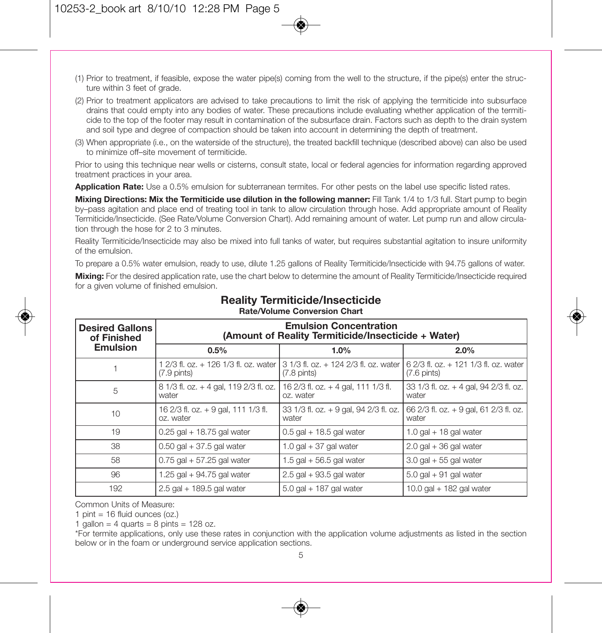- (1) Prior to treatment, if feasible, expose the water pipe(s) coming from the well to the structure, if the pipe(s) enter the structure within 3 feet of grade.
- (2) Prior to treatment applicators are advised to take precautions to limit the risk of applying the termiticide into subsurface drains that could empty into any bodies of water. These precautions include evaluating whether application of the termiticide to the top of the footer may result in contamination of the subsurface drain. Factors such as depth to the drain system and soil type and degree of compaction should be taken into account in determining the depth of treatment.
- (3) When appropriate (i.e., on the waterside of the structure), the treated backfill technique (described above) can also be used to minimize off–site movement of termiticide.

Prior to using this technique near wells or cisterns, consult state, local or federal agencies for information regarding approved treatment practices in your area.

**Application Rate:** Use a 0.5% emulsion for subterranean termites. For other pests on the label use specific listed rates.

**Mixing Directions: Mix the Termiticide use dilution in the following manner:** Fill Tank 1/4 to 1/3 full. Start pump to begin by–pass agitation and place end of treating tool in tank to allow circulation through hose. Add appropriate amount of Reality Termiticide/Insecticide. (See Rate/Volume Conversion Chart). Add remaining amount of water. Let pump run and allow circulation through the hose for 2 to 3 minutes.

Reality Termiticide/Insecticide may also be mixed into full tanks of water, but requires substantial agitation to insure uniformity of the emulsion.

To prepare a 0.5% water emulsion, ready to use, dilute 1.25 gallons of Reality Termiticide/Insecticide with 94.75 gallons of water.

**Mixing:** For the desired application rate, use the chart below to determine the amount of Reality Termiticide/Insecticide required for a given volume of finished emulsion.

| <b>Desired Gallons</b><br>of Finished | <b>Emulsion Concentration</b><br>(Amount of Reality Termiticide/Insecticide + Water) |                                                                |                                                                |  |  |  |  |  |  |  |  |  |  |  |
|---------------------------------------|--------------------------------------------------------------------------------------|----------------------------------------------------------------|----------------------------------------------------------------|--|--|--|--|--|--|--|--|--|--|--|
| <b>Emulsion</b>                       | 0.5%                                                                                 | 1.0%                                                           | 2.0%                                                           |  |  |  |  |  |  |  |  |  |  |  |
|                                       | 1 2/3 fl. oz. + 126 1/3 fl. oz. water<br>$(7.9 \text{ pints})$                       | 3 1/3 fl. oz. + 124 2/3 fl. oz. water<br>$(7.8 \text{ pints})$ | 6 2/3 fl. oz. + 121 1/3 fl. oz. water<br>$(7.6 \text{ pints})$ |  |  |  |  |  |  |  |  |  |  |  |
| 5                                     | 8 1/3 fl. oz. + 4 gal, 119 2/3 fl. oz.<br>water                                      | 16 2/3 fl. oz. + 4 gal, 111 1/3 fl.<br>oz. water               | 33 1/3 fl. oz. + 4 gal, 94 2/3 fl. oz.<br>water                |  |  |  |  |  |  |  |  |  |  |  |
| 10                                    | 16 2/3 fl. oz. + 9 gal, 111 1/3 fl.<br>oz. water                                     | 33 1/3 fl. oz. + 9 gal, 94 2/3 fl. oz.<br>water                | 66 2/3 fl. oz. + 9 gal, 61 2/3 fl. oz.<br>water                |  |  |  |  |  |  |  |  |  |  |  |
| 19                                    | $0.25$ gal + 18.75 gal water                                                         | $0.5$ gal + 18.5 gal water                                     | $1.0$ gal + 18 gal water                                       |  |  |  |  |  |  |  |  |  |  |  |
| 38                                    | $0.50$ gal $+37.5$ gal water                                                         | $1.0$ gal $+37$ gal water                                      | $2.0$ gal $+36$ gal water                                      |  |  |  |  |  |  |  |  |  |  |  |
| 58                                    | $0.75$ gal $+57.25$ gal water                                                        | $1.5$ gal $+56.5$ gal water                                    | $3.0$ gal $+55$ gal water                                      |  |  |  |  |  |  |  |  |  |  |  |
| 96                                    | $1.25$ gal $+94.75$ gal water                                                        | $2.5$ gal $+93.5$ gal water                                    | $5.0$ gal $+91$ gal water                                      |  |  |  |  |  |  |  |  |  |  |  |
| 192                                   | $2.5$ gal + 189.5 gal water                                                          | $5.0$ gal $+187$ gal water                                     | $10.0$ gal $+ 182$ gal water                                   |  |  |  |  |  |  |  |  |  |  |  |

#### **Reality Termiticide/Insecticide Rate/Volume Conversion Chart**

Common Units of Measure:

1 pint  $= 16$  fluid ounces (oz.)

1 gallon = 4 quarts =  $8$  pints = 128 oz.

\*For termite applications, only use these rates in conjunction with the application volume adjustments as listed in the section below or in the foam or underground service application sections.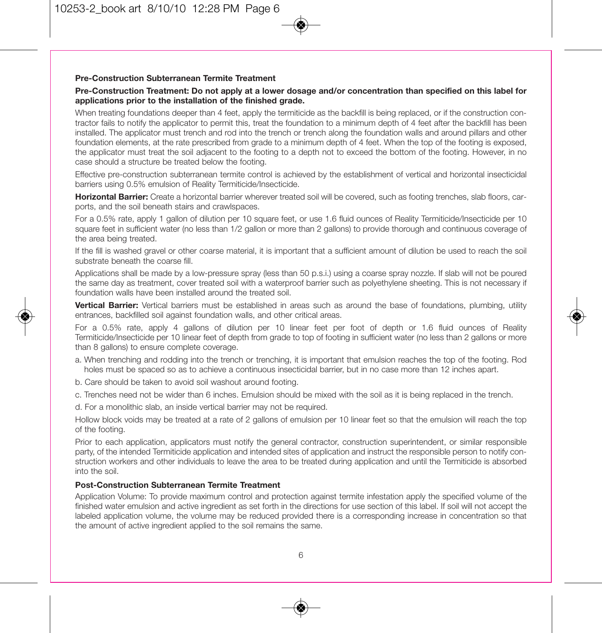#### **Pre-Construction Subterranean Termite Treatment**

#### **Pre-Construction Treatment: Do not apply at a lower dosage and/or concentration than specified on this label for applications prior to the installation of the finished grade.**

When treating foundations deeper than 4 feet, apply the termiticide as the backfill is being replaced, or if the construction contractor fails to notify the applicator to permit this, treat the foundation to a minimum depth of 4 feet after the backfill has been installed. The applicator must trench and rod into the trench or trench along the foundation walls and around pillars and other foundation elements, at the rate prescribed from grade to a minimum depth of 4 feet. When the top of the footing is exposed, the applicator must treat the soil adjacent to the footing to a depth not to exceed the bottom of the footing. However, in no case should a structure be treated below the footing.

Effective pre-construction subterranean termite control is achieved by the establishment of vertical and horizontal insecticidal barriers using 0.5% emulsion of Reality Termiticide/Insecticide.

**Horizontal Barrier:** Create a horizontal barrier wherever treated soil will be covered, such as footing trenches, slab floors, carports, and the soil beneath stairs and crawlspaces.

For a 0.5% rate, apply 1 gallon of dilution per 10 square feet, or use 1.6 fluid ounces of Reality Termiticide/Insecticide per 10 square feet in sufficient water (no less than 1/2 gallon or more than 2 gallons) to provide thorough and continuous coverage of the area being treated.

If the fill is washed gravel or other coarse material, it is important that a sufficient amount of dilution be used to reach the soil substrate beneath the coarse fill.

Applications shall be made by a low-pressure spray (less than 50 p.s.i.) using a coarse spray nozzle. If slab will not be poured the same day as treatment, cover treated soil with a waterproof barrier such as polyethylene sheeting. This is not necessary if foundation walls have been installed around the treated soil.

**Vertical Barrier:** Vertical barriers must be established in areas such as around the base of foundations, plumbing, utility entrances, backfilled soil against foundation walls, and other critical areas.

For a 0.5% rate, apply 4 gallons of dilution per 10 linear feet per foot of depth or 1.6 fluid ounces of Reality Termiticide/Insecticide per 10 linear feet of depth from grade to top of footing in sufficient water (no less than 2 gallons or more than 8 gallons) to ensure complete coverage.

a. When trenching and rodding into the trench or trenching, it is important that emulsion reaches the top of the footing. Rod holes must be spaced so as to achieve a continuous insecticidal barrier, but in no case more than 12 inches apart.

- b. Care should be taken to avoid soil washout around footing.
- c. Trenches need not be wider than 6 inches. Emulsion should be mixed with the soil as it is being replaced in the trench.

d. For a monolithic slab, an inside vertical barrier may not be required.

Hollow block voids may be treated at a rate of 2 gallons of emulsion per 10 linear feet so that the emulsion will reach the top of the footing.

Prior to each application, applicators must notify the general contractor, construction superintendent, or similar responsible party, of the intended Termiticide application and intended sites of application and instruct the responsible person to notify construction workers and other individuals to leave the area to be treated during application and until the Termiticide is absorbed into the soil.

#### **Post-Construction Subterranean Termite Treatment**

Application Volume: To provide maximum control and protection against termite infestation apply the specified volume of the finished water emulsion and active ingredient as set forth in the directions for use section of this label. If soil will not accept the labeled application volume, the volume may be reduced provided there is a corresponding increase in concentration so that the amount of active ingredient applied to the soil remains the same.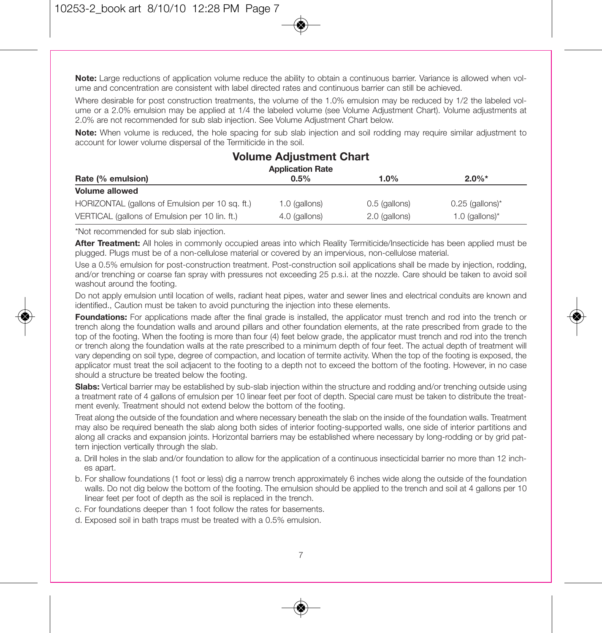**Note:** Large reductions of application volume reduce the ability to obtain a continuous barrier. Variance is allowed when volume and concentration are consistent with label directed rates and continuous barrier can still be achieved.

Where desirable for post construction treatments, the volume of the 1.0% emulsion may be reduced by 1/2 the labeled volume or a 2.0% emulsion may be applied at 1/4 the labeled volume (see Volume Adjustment Chart). Volume adjustments at 2.0% are not recommended for sub slab injection. See Volume Adjustment Chart below.

**Note:** When volume is reduced, the hole spacing for sub slab injection and soil rodding may require similar adjustment to account for lower volume dispersal of the Termiticide in the soil. **Volume Adjustment Chart**

|                                                 | <b>volume Adjustment Unart</b><br><b>Application Rate</b> |               |                              |
|-------------------------------------------------|-----------------------------------------------------------|---------------|------------------------------|
| Rate (% emulsion)                               | $0.5\%$                                                   | $1.0\%$       | $2.0\%$ *                    |
| <b>Volume allowed</b>                           |                                                           |               |                              |
| HORIZONTAL (gallons of Emulsion per 10 sq. ft.) | 1.0 (gallons)                                             | 0.5 (gallons) | $0.25$ (gallons)*            |
| VERTICAL (gallons of Emulsion per 10 lin. ft.)  | 4.0 (gallons)                                             | 2.0 (gallons) | $1.0$ (gallons) <sup>*</sup> |

\*Not recommended for sub slab injection.

After Treatment: All holes in commonly occupied areas into which Reality Termiticide/Insecticide has been applied must be plugged. Plugs must be of a non-cellulose material or covered by an impervious, non-cellulose material.

Use a 0.5% emulsion for post-construction treatment. Post-construction soil applications shall be made by injection, rodding, and/or trenching or coarse fan spray with pressures not exceeding 25 p.s.i. at the nozzle. Care should be taken to avoid soil washout around the footing.

Do not apply emulsion until location of wells, radiant heat pipes, water and sewer lines and electrical conduits are known and identified., Caution must be taken to avoid puncturing the injection into these elements.

**Foundations:** For applications made after the final grade is installed, the applicator must trench and rod into the trench or trench along the foundation walls and around pillars and other foundation elements, at the rate prescribed from grade to the top of the footing. When the footing is more than four (4) feet below grade, the applicator must trench and rod into the trench or trench along the foundation walls at the rate prescribed to a minimum depth of four feet. The actual depth of treatment will vary depending on soil type, degree of compaction, and location of termite activity. When the top of the footing is exposed, the applicator must treat the soil adjacent to the footing to a depth not to exceed the bottom of the footing. However, in no case should a structure be treated below the footing.

**Slabs:** Vertical barrier may be established by sub-slab injection within the structure and rodding and/or trenching outside using a treatment rate of 4 gallons of emulsion per 10 linear feet per foot of depth. Special care must be taken to distribute the treatment evenly. Treatment should not extend below the bottom of the footing.

Treat along the outside of the foundation and where necessary beneath the slab on the inside of the foundation walls. Treatment may also be required beneath the slab along both sides of interior footing-supported walls, one side of interior partitions and along all cracks and expansion joints. Horizontal barriers may be established where necessary by long-rodding or by grid pattern injection vertically through the slab.

- a. Drill holes in the slab and/or foundation to allow for the application of a continuous insecticidal barrier no more than 12 inches apart.
- b. For shallow foundations (1 foot or less) dig a narrow trench approximately 6 inches wide along the outside of the foundation walls. Do not dig below the bottom of the footing. The emulsion should be applied to the trench and soil at 4 gallons per 10 linear feet per foot of depth as the soil is replaced in the trench.
- c. For foundations deeper than 1 foot follow the rates for basements.
- d. Exposed soil in bath traps must be treated with a 0.5% emulsion.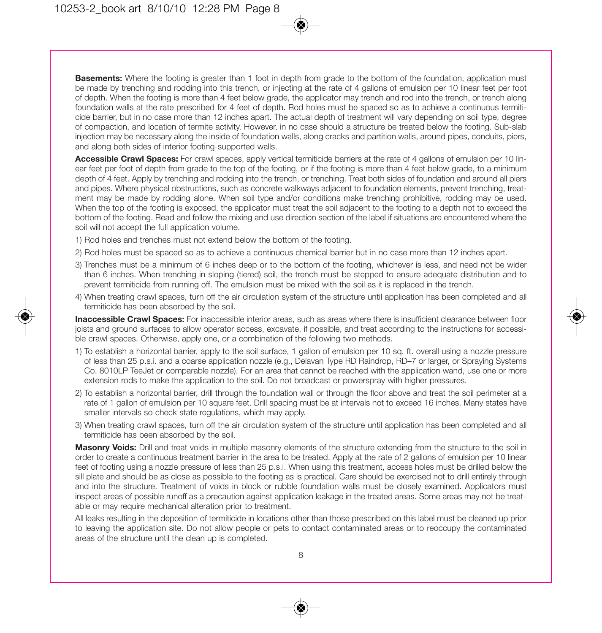**Basements:** Where the footing is greater than 1 foot in depth from grade to the bottom of the foundation, application must be made by trenching and rodding into this trench, or injecting at the rate of 4 gallons of emulsion per 10 linear feet per foot of depth. When the footing is more than 4 feet below grade, the applicator may trench and rod into the trench, or trench along foundation walls at the rate prescribed for 4 feet of depth. Rod holes must be spaced so as to achieve a continuous termiticide barrier, but in no case more than 12 inches apart. The actual depth of treatment will vary depending on soil type, degree of compaction, and location of termite activity. However, in no case should a structure be treated below the footing. Sub-slab injection may be necessary along the inside of foundation walls, along cracks and partition walls, around pipes, conduits, piers, and along both sides of interior footing-supported walls.

**Accessible Crawl Spaces:** For crawl spaces, apply vertical termiticide barriers at the rate of 4 gallons of emulsion per 10 linear feet per foot of depth from grade to the top of the footing, or if the footing is more than 4 feet below grade, to a minimum depth of 4 feet. Apply by trenching and rodding into the trench, or trenching. Treat both sides of foundation and around all piers and pipes. Where physical obstructions, such as concrete walkways adjacent to foundation elements, prevent trenching, treatment may be made by rodding alone. When soil type and/or conditions make trenching prohibitive, rodding may be used. When the top of the footing is exposed, the applicator must treat the soil adjacent to the footing to a depth not to exceed the bottom of the footing. Read and follow the mixing and use direction section of the label if situations are encountered where the soil will not accept the full application volume.

- 1) Rod holes and trenches must not extend below the bottom of the footing.
- 2) Rod holes must be spaced so as to achieve a continuous chemical barrier but in no case more than 12 inches apart.
- 3) Trenches must be a minimum of 6 inches deep or to the bottom of the footing, whichever is less, and need not be wider than 6 inches. When trenching in sloping (tiered) soil, the trench must be stepped to ensure adequate distribution and to prevent termiticide from running off. The emulsion must be mixed with the soil as it is replaced in the trench.
- 4) When treating crawl spaces, turn off the air circulation system of the structure until application has been completed and all termiticide has been absorbed by the soil.

**Inaccessible Crawl Spaces:** For inaccessible interior areas, such as areas where there is insufficient clearance between floor joists and ground surfaces to allow operator access, excavate, if possible, and treat according to the instructions for accessible crawl spaces. Otherwise, apply one, or a combination of the following two methods.

- 1) To establish a horizontal barrier, apply to the soil surface, 1 gallon of emulsion per 10 sq. ft. overall using a nozzle pressure of less than 25 p.s.i. and a coarse application nozzle (e.g., Delavan Type RD Raindrop, RD–7 or larger, or Spraying Systems Co. 8010LP TeeJet or comparable nozzle). For an area that cannot be reached with the application wand, use one or more extension rods to make the application to the soil. Do not broadcast or powerspray with higher pressures.
- 2) To establish a horizontal barrier, drill through the foundation wall or through the floor above and treat the soil perimeter at a rate of 1 gallon of emulsion per 10 square feet. Drill spacing must be at intervals not to exceed 16 inches. Many states have smaller intervals so check state regulations, which may apply.
- 3) When treating crawl spaces, turn off the air circulation system of the structure until application has been completed and all termiticide has been absorbed by the soil.

**Masonry Voids:** Drill and treat voids in multiple masonry elements of the structure extending from the structure to the soil in order to create a continuous treatment barrier in the area to be treated. Apply at the rate of 2 gallons of emulsion per 10 linear feet of footing using a nozzle pressure of less than 25 p.s.i. When using this treatment, access holes must be drilled below the sill plate and should be as close as possible to the footing as is practical. Care should be exercised not to drill entirely through and into the structure. Treatment of voids in block or rubble foundation walls must be closely examined. Applicators must inspect areas of possible runoff as a precaution against application leakage in the treated areas. Some areas may not be treatable or may require mechanical alteration prior to treatment.

All leaks resulting in the deposition of termiticide in locations other than those prescribed on this label must be cleaned up prior to leaving the application site. Do not allow people or pets to contact contaminated areas or to reoccupy the contaminated areas of the structure until the clean up is completed.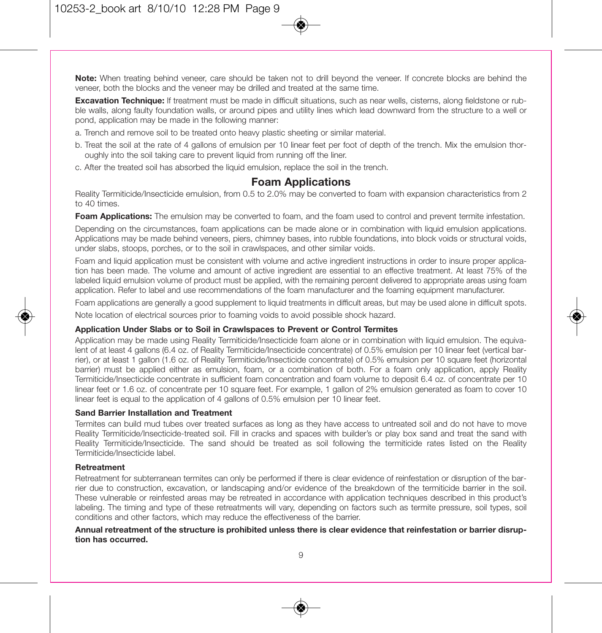**Note:** When treating behind veneer, care should be taken not to drill beyond the veneer. If concrete blocks are behind the veneer, both the blocks and the veneer may be drilled and treated at the same time.

**Excavation Technique:** If treatment must be made in difficult situations, such as near wells, cisterns, along fieldstone or rubble walls, along faulty foundation walls, or around pipes and utility lines which lead downward from the structure to a well or pond, application may be made in the following manner:

a. Trench and remove soil to be treated onto heavy plastic sheeting or similar material.

- b. Treat the soil at the rate of 4 gallons of emulsion per 10 linear feet per foot of depth of the trench. Mix the emulsion thoroughly into the soil taking care to prevent liquid from running off the liner.
- c. After the treated soil has absorbed the liquid emulsion, replace the soil in the trench.

## **Foam Applications**

Reality Termiticide/Insecticide emulsion, from 0.5 to 2.0% may be converted to foam with expansion characteristics from 2 to 40 times.

Foam Applications: The emulsion may be converted to foam, and the foam used to control and prevent termite infestation.

Depending on the circumstances, foam applications can be made alone or in combination with liquid emulsion applications. Applications may be made behind veneers, piers, chimney bases, into rubble foundations, into block voids or structural voids, under slabs, stoops, porches, or to the soil in crawlspaces, and other similar voids.

Foam and liquid application must be consistent with volume and active ingredient instructions in order to insure proper application has been made. The volume and amount of active ingredient are essential to an effective treatment. At least 75% of the labeled liquid emulsion volume of product must be applied, with the remaining percent delivered to appropriate areas using foam application. Refer to label and use recommendations of the foam manufacturer and the foaming equipment manufacturer.

Foam applications are generally a good supplement to liquid treatments in difficult areas, but may be used alone in difficult spots.

Note location of electrical sources prior to foaming voids to avoid possible shock hazard.

#### **Application Under Slabs or to Soil in Crawlspaces to Prevent or Control Termites**

Application may be made using Reality Termiticide/Insecticide foam alone or in combination with liquid emulsion. The equivalent of at least 4 gallons (6.4 oz. of Reality Termiticide/Insecticide concentrate) of 0.5% emulsion per 10 linear feet (vertical barrier), or at least 1 gallon (1.6 oz. of Reality Termiticide/Insecticide concentrate) of 0.5% emulsion per 10 square feet (horizontal barrier) must be applied either as emulsion, foam, or a combination of both. For a foam only application, apply Reality Termiticide/Insecticide concentrate in sufficient foam concentration and foam volume to deposit 6.4 oz. of concentrate per 10 linear feet or 1.6 oz. of concentrate per 10 square feet. For example, 1 gallon of 2% emulsion generated as foam to cover 10 linear feet is equal to the application of 4 gallons of 0.5% emulsion per 10 linear feet.

#### **Sand Barrier Installation and Treatment**

Termites can build mud tubes over treated surfaces as long as they have access to untreated soil and do not have to move Reality Termiticide/Insecticide-treated soil. Fill in cracks and spaces with builder's or play box sand and treat the sand with Reality Termiticide/Insecticide. The sand should be treated as soil following the termiticide rates listed on the Reality Termiticide/Insecticide label.

#### **Retreatment**

Retreatment for subterranean termites can only be performed if there is clear evidence of reinfestation or disruption of the barrier due to construction, excavation, or landscaping and/or evidence of the breakdown of the termiticide barrier in the soil. These vulnerable or reinfested areas may be retreated in accordance with application techniques described in this product's labeling. The timing and type of these retreatments will vary, depending on factors such as termite pressure, soil types, soil conditions and other factors, which may reduce the effectiveness of the barrier.

**Annual retreatment of the structure is prohibited unless there is clear evidence that reinfestation or barrier disruption has occurred.**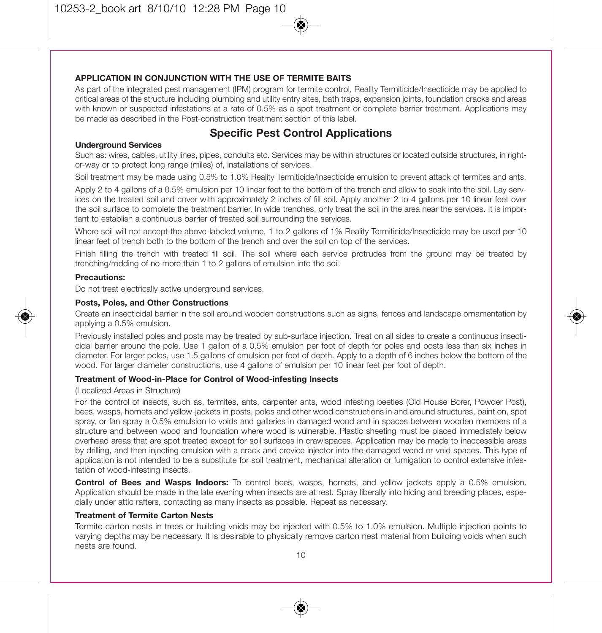#### **APPLICATION IN CONJUNCTION WITH THE USE OF TERMITE BAITS**

As part of the integrated pest management (IPM) program for termite control, Reality Termiticide/Insecticide may be applied to critical areas of the structure including plumbing and utility entry sites, bath traps, expansion joints, foundation cracks and areas with known or suspected infestations at a rate of 0.5% as a spot treatment or complete barrier treatment. Applications may be made as described in the Post-construction treatment section of this label.

## **Specific Pest Control Applications**

#### **Underground Services**

Such as: wires, cables, utility lines, pipes, conduits etc. Services may be within structures or located outside structures, in rightor-way or to protect long range (miles) of, installations of services.

Soil treatment may be made using 0.5% to 1.0% Reality Termiticide/Insecticide emulsion to prevent attack of termites and ants.

Apply 2 to 4 gallons of a 0.5% emulsion per 10 linear feet to the bottom of the trench and allow to soak into the soil. Lay services on the treated soil and cover with approximately 2 inches of fill soil. Apply another 2 to 4 gallons per 10 linear feet over the soil surface to complete the treatment barrier. In wide trenches, only treat the soil in the area near the services. It is important to establish a continuous barrier of treated soil surrounding the services.

Where soil will not accept the above-labeled volume, 1 to 2 gallons of 1% Reality Termiticide/Insecticide may be used per 10 linear feet of trench both to the bottom of the trench and over the soil on top of the services.

Finish filling the trench with treated fill soil. The soil where each service protrudes from the ground may be treated by trenching/rodding of no more than 1 to 2 gallons of emulsion into the soil.

#### **Precautions:**

Do not treat electrically active underground services.

#### **Posts, Poles, and Other Constructions**

Create an insecticidal barrier in the soil around wooden constructions such as signs, fences and landscape ornamentation by applying a 0.5% emulsion.

Previously installed poles and posts may be treated by sub-surface injection. Treat on all sides to create a continuous insecticidal barrier around the pole. Use 1 gallon of a 0.5% emulsion per foot of depth for poles and posts less than six inches in diameter. For larger poles, use 1.5 gallons of emulsion per foot of depth. Apply to a depth of 6 inches below the bottom of the wood. For larger diameter constructions, use 4 gallons of emulsion per 10 linear feet per foot of depth.

#### **Treatment of Wood-in-Place for Control of Wood-infesting Insects**

#### (Localized Areas in Structure)

For the control of insects, such as, termites, ants, carpenter ants, wood infesting beetles (Old House Borer, Powder Post), bees, wasps, hornets and yellow-jackets in posts, poles and other wood constructions in and around structures, paint on, spot spray, or fan spray a 0.5% emulsion to voids and galleries in damaged wood and in spaces between wooden members of a structure and between wood and foundation where wood is vulnerable. Plastic sheeting must be placed immediately below overhead areas that are spot treated except for soil surfaces in crawlspaces. Application may be made to inaccessible areas by drilling, and then injecting emulsion with a crack and crevice injector into the damaged wood or void spaces. This type of application is not intended to be a substitute for soil treatment, mechanical alteration or fumigation to control extensive infestation of wood-infesting insects.

**Control of Bees and Wasps Indoors:** To control bees, wasps, hornets, and yellow jackets apply a 0.5% emulsion. Application should be made in the late evening when insects are at rest. Spray liberally into hiding and breeding places, especially under attic rafters, contacting as many insects as possible. Repeat as necessary.

#### **Treatment of Termite Carton Nests**

Termite carton nests in trees or building voids may be injected with 0.5% to 1.0% emulsion. Multiple injection points to varying depths may be necessary. It is desirable to physically remove carton nest material from building voids when such nests are found.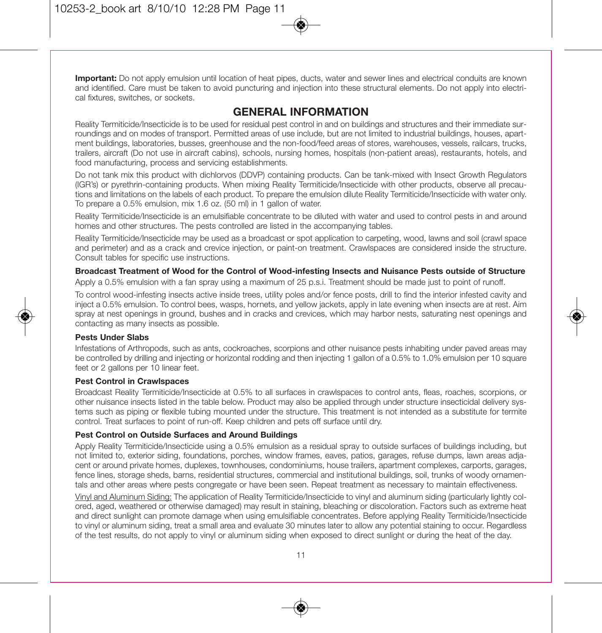**Important:** Do not apply emulsion until location of heat pipes, ducts, water and sewer lines and electrical conduits are known and identified. Care must be taken to avoid puncturing and injection into these structural elements. Do not apply into electrical fixtures, switches, or sockets.

## **GENERAL INFORMATION**

Reality Termiticide/Insecticide is to be used for residual pest control in and on buildings and structures and their immediate surroundings and on modes of transport. Permitted areas of use include, but are not limited to industrial buildings, houses, apartment buildings, laboratories, busses, greenhouse and the non-food/feed areas of stores, warehouses, vessels, railcars, trucks, trailers, aircraft (Do not use in aircraft cabins), schools, nursing homes, hospitals (non-patient areas), restaurants, hotels, and food manufacturing, process and servicing establishments.

Do not tank mix this product with dichlorvos (DDVP) containing products. Can be tank-mixed with Insect Growth Regulators (IGR's) or pyrethrin-containing products. When mixing Reality Termiticide/Insecticide with other products, observe all precautions and limitations on the labels of each product. To prepare the emulsion dilute Reality Termiticide/Insecticide with water only. To prepare a 0.5% emulsion, mix 1.6 oz. (50 ml) in 1 gallon of water.

Reality Termiticide/Insecticide is an emulsifiable concentrate to be diluted with water and used to control pests in and around homes and other structures. The pests controlled are listed in the accompanying tables.

Reality Termiticide/Insecticide may be used as a broadcast or spot application to carpeting, wood, lawns and soil (crawl space and perimeter) and as a crack and crevice injection, or paint-on treatment. Crawlspaces are considered inside the structure. Consult tables for specific use instructions.

#### **Broadcast Treatment of Wood for the Control of Wood-infesting Insects and Nuisance Pests outside of Structure**

Apply a 0.5% emulsion with a fan spray using a maximum of 25 p.s.i. Treatment should be made just to point of runoff.

To control wood-infesting insects active inside trees, utility poles and/or fence posts, drill to find the interior infested cavity and inject a 0.5% emulsion. To control bees, wasps, hornets, and yellow jackets, apply in late evening when insects are at rest. Aim spray at nest openings in ground, bushes and in cracks and crevices, which may harbor nests, saturating nest openings and contacting as many insects as possible.

#### **Pests Under Slabs**

Infestations of Arthropods, such as ants, cockroaches, scorpions and other nuisance pests inhabiting under paved areas may be controlled by drilling and injecting or horizontal rodding and then injecting 1 gallon of a 0.5% to 1.0% emulsion per 10 square feet or 2 gallons per 10 linear feet.

#### **Pest Control in Crawlspaces**

Broadcast Reality Termiticide/Insecticide at 0.5% to all surfaces in crawlspaces to control ants, fleas, roaches, scorpions, or other nuisance insects listed in the table below. Product may also be applied through under structure insecticidal delivery systems such as piping or flexible tubing mounted under the structure. This treatment is not intended as a substitute for termite control. Treat surfaces to point of run-off. Keep children and pets off surface until dry.

#### **Pest Control on Outside Surfaces and Around Buildings**

Apply Reality Termiticide/Insecticide using a 0.5% emulsion as a residual spray to outside surfaces of buildings including, but not limited to, exterior siding, foundations, porches, window frames, eaves, patios, garages, refuse dumps, lawn areas adjacent or around private homes, duplexes, townhouses, condominiums, house trailers, apartment complexes, carports, garages, fence lines, storage sheds, barns, residential structures, commercial and institutional buildings, soil, trunks of woody ornamentals and other areas where pests congregate or have been seen. Repeat treatment as necessary to maintain effectiveness.

Vinyl and Aluminum Siding: The application of Reality Termiticide/Insecticide to vinyl and aluminum siding (particularly lightly colored, aged, weathered or otherwise damaged) may result in staining, bleaching or discoloration. Factors such as extreme heat and direct sunlight can promote damage when using emulsifiable concentrates. Before applying Reality Termiticide/Insecticide to vinyl or aluminum siding, treat a small area and evaluate 30 minutes later to allow any potential staining to occur. Regardless of the test results, do not apply to vinyl or aluminum siding when exposed to direct sunlight or during the heat of the day.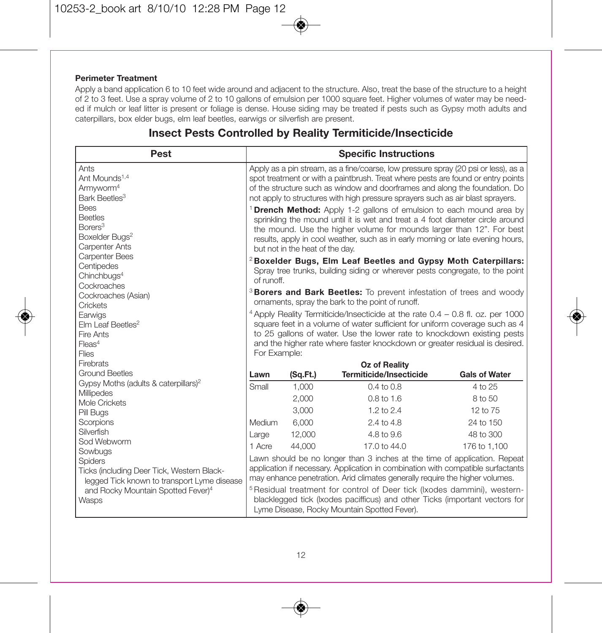#### **Perimeter Treatment**

Apply a band application 6 to 10 feet wide around and adjacent to the structure. Also, treat the base of the structure to a height of 2 to 3 feet. Use a spray volume of 2 to 10 gallons of emulsion per 1000 square feet. Higher volumes of water may be needed if mulch or leaf litter is present or foliage is dense. House siding may be treated if pests such as Gypsy moth adults and caterpillars, box elder bugs, elm leaf beetles, earwigs or silverfish are present.

## **Insect Pests Controlled by Reality Termiticide/Insecticide**

| Pest                                                                                                                                                                       | <b>Specific Instructions</b>                                                                                                                                                                                                                                                                                                                                                                                                            |          |                                                                                                                                                                                                                                                                                                                                                                                                                                                                     |                      |  |  |  |  |  |  |  |  |
|----------------------------------------------------------------------------------------------------------------------------------------------------------------------------|-----------------------------------------------------------------------------------------------------------------------------------------------------------------------------------------------------------------------------------------------------------------------------------------------------------------------------------------------------------------------------------------------------------------------------------------|----------|---------------------------------------------------------------------------------------------------------------------------------------------------------------------------------------------------------------------------------------------------------------------------------------------------------------------------------------------------------------------------------------------------------------------------------------------------------------------|----------------------|--|--|--|--|--|--|--|--|
| Ants<br>Ant Mounds <sup>1,4</sup><br>Armyworm <sup>4</sup><br>Bark Beetles <sup>3</sup>                                                                                    | Apply as a pin stream, as a fine/coarse, low pressure spray (20 psi or less), as a<br>spot treatment or with a paintbrush. Treat where pests are found or entry points<br>of the structure such as window and doorframes and along the foundation. Do<br>not apply to structures with high pressure sprayers such as air blast sprayers.                                                                                                |          |                                                                                                                                                                                                                                                                                                                                                                                                                                                                     |                      |  |  |  |  |  |  |  |  |
| <b>Bees</b><br><b>Beetles</b><br>Borers <sup>3</sup><br>Boxelder Bugs <sup>2</sup><br>Carpenter Ants<br><b>Carpenter Bees</b><br>Centipedes                                | <b>Drench Method:</b> Apply 1-2 gallons of emulsion to each mound area by<br>sprinkling the mound until it is wet and treat a 4 foot diameter circle around<br>the mound. Use the higher volume for mounds larger than 12". For best<br>results, apply in cool weather, such as in early morning or late evening hours,<br>but not in the heat of the day.<br><sup>2</sup> Boxelder Bugs, Elm Leaf Beetles and Gypsy Moth Caterpillars: |          |                                                                                                                                                                                                                                                                                                                                                                                                                                                                     |                      |  |  |  |  |  |  |  |  |
| Chinchbugs <sup>4</sup><br>Cockroaches<br>Cockroaches (Asian)<br>Crickets                                                                                                  | of runoff.                                                                                                                                                                                                                                                                                                                                                                                                                              |          | Spray tree trunks, building siding or wherever pests congregate, to the point<br><sup>3</sup> Borers and Bark Beetles: To prevent infestation of trees and woody<br>ornaments, spray the bark to the point of runoff.                                                                                                                                                                                                                                               |                      |  |  |  |  |  |  |  |  |
| Earwigs<br>$F\text{Im} \perp \text{eaf Beetles}^2$<br>Fire Ants<br>Feas <sup>4</sup><br><b>Flies</b>                                                                       | $4$ Apply Reality Termiticide/Insecticide at the rate 0.4 - 0.8 fl. oz. per 1000<br>square feet in a volume of water sufficient for uniform coverage such as 4<br>to 25 gallons of water. Use the lower rate to knockdown existing pests<br>and the higher rate where faster knockdown or greater residual is desired.<br>For Example:                                                                                                  |          |                                                                                                                                                                                                                                                                                                                                                                                                                                                                     |                      |  |  |  |  |  |  |  |  |
| Firebrats                                                                                                                                                                  |                                                                                                                                                                                                                                                                                                                                                                                                                                         |          | <b>Oz of Reality</b>                                                                                                                                                                                                                                                                                                                                                                                                                                                |                      |  |  |  |  |  |  |  |  |
| <b>Ground Beetles</b>                                                                                                                                                      | Lawn                                                                                                                                                                                                                                                                                                                                                                                                                                    | (Sq.Ft.) | Termiticide/Insecticide                                                                                                                                                                                                                                                                                                                                                                                                                                             | <b>Gals of Water</b> |  |  |  |  |  |  |  |  |
| Gypsy Moths (adults & caterpillars) <sup>2</sup>                                                                                                                           | Small                                                                                                                                                                                                                                                                                                                                                                                                                                   | 1.000    | $0.4 \text{ to } 0.8$                                                                                                                                                                                                                                                                                                                                                                                                                                               | 4 to 25              |  |  |  |  |  |  |  |  |
| Millipedes<br>Mole Crickets                                                                                                                                                |                                                                                                                                                                                                                                                                                                                                                                                                                                         | 2.000    | $0.8 \text{ to } 1.6$                                                                                                                                                                                                                                                                                                                                                                                                                                               | 8 to 50              |  |  |  |  |  |  |  |  |
| Pill Bugs                                                                                                                                                                  |                                                                                                                                                                                                                                                                                                                                                                                                                                         | 3.000    | 1.2 to $2.4$                                                                                                                                                                                                                                                                                                                                                                                                                                                        | 12 to 75             |  |  |  |  |  |  |  |  |
| Scorpions                                                                                                                                                                  | Medium                                                                                                                                                                                                                                                                                                                                                                                                                                  | 6.000    | $2.4 \text{ to } 4.8$                                                                                                                                                                                                                                                                                                                                                                                                                                               | 24 to 150            |  |  |  |  |  |  |  |  |
| Silverfish                                                                                                                                                                 | Large                                                                                                                                                                                                                                                                                                                                                                                                                                   | 12,000   | 4.8 to 9.6                                                                                                                                                                                                                                                                                                                                                                                                                                                          | 48 to 300            |  |  |  |  |  |  |  |  |
| Sod Webworm                                                                                                                                                                | 1 Acre                                                                                                                                                                                                                                                                                                                                                                                                                                  | 44.000   | 17.0 to 44.0                                                                                                                                                                                                                                                                                                                                                                                                                                                        | 176 to 1.100         |  |  |  |  |  |  |  |  |
| Sowbugs<br>Spiders<br>Ticks (including Deer Tick, Western Black-<br>legged Tick known to transport Lyme disease<br>and Rocky Mountain Spotted Fever) <sup>4</sup><br>Wasps |                                                                                                                                                                                                                                                                                                                                                                                                                                         |          | Lawn should be no longer than 3 inches at the time of application. Repeat<br>application if necessary. Application in combination with compatible surfactants<br>may enhance penetration. Arid climates generally require the higher volumes.<br><sup>5</sup> Residual treatment for control of Deer tick (Ixodes dammini), western-<br>blacklegged tick (Ixodes pacifficus) and other Ticks (important vectors for<br>Lyme Disease, Rocky Mountain Spotted Fever). |                      |  |  |  |  |  |  |  |  |

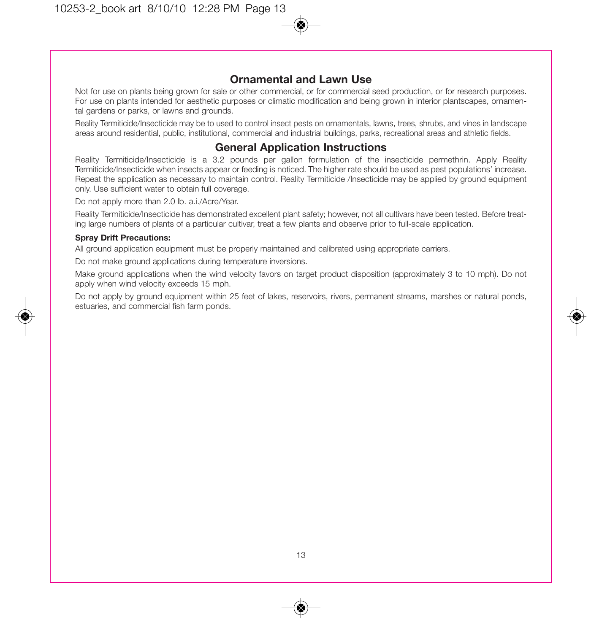### **Ornamental and Lawn Use**

Not for use on plants being grown for sale or other commercial, or for commercial seed production, or for research purposes. For use on plants intended for aesthetic purposes or climatic modification and being grown in interior plantscapes, ornamental gardens or parks, or lawns and grounds.

Reality Termiticide/Insecticide may be to used to control insect pests on ornamentals, lawns, trees, shrubs, and vines in landscape areas around residential, public, institutional, commercial and industrial buildings, parks, recreational areas and athletic fields.

## **General Application Instructions**

Reality Termiticide/Insecticide is a 3.2 pounds per gallon formulation of the insecticide permethrin. Apply Reality Termiticide/Insecticide when insects appear or feeding is noticed. The higher rate should be used as pest populations' increase. Repeat the application as necessary to maintain control. Reality Termiticide /Insecticide may be applied by ground equipment only. Use sufficient water to obtain full coverage.

Do not apply more than 2.0 lb. a.i./Acre/Year.

Reality Termiticide/Insecticide has demonstrated excellent plant safety; however, not all cultivars have been tested. Before treating large numbers of plants of a particular cultivar, treat a few plants and observe prior to full-scale application.

#### **Spray Drift Precautions:**

All ground application equipment must be properly maintained and calibrated using appropriate carriers.

Do not make ground applications during temperature inversions.

Make ground applications when the wind velocity favors on target product disposition (approximately 3 to 10 mph). Do not apply when wind velocity exceeds 15 mph.

Do not apply by ground equipment within 25 feet of lakes, reservoirs, rivers, permanent streams, marshes or natural ponds, estuaries, and commercial fish farm ponds.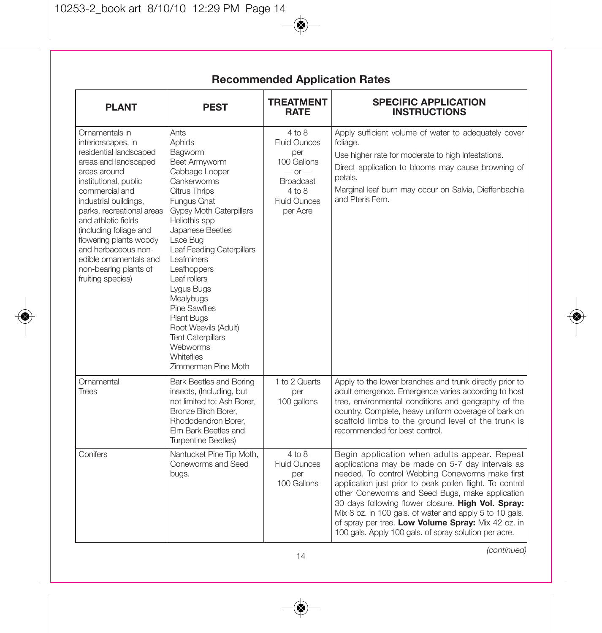| <b>PLANT</b>                                                                                                                                                                                                                                                                                                                                                                      | <b>PEST</b>                                                                                                                                                                                                                                                                                                                                                                                                                                                   | <b>TREATMENT</b><br><b>RATE</b>                                                                                                            | <b>SPECIFIC APPLICATION</b><br><b>INSTRUCTIONS</b>                                                                                                                                                                                                                                                                                                                                                                                                                                                 |
|-----------------------------------------------------------------------------------------------------------------------------------------------------------------------------------------------------------------------------------------------------------------------------------------------------------------------------------------------------------------------------------|---------------------------------------------------------------------------------------------------------------------------------------------------------------------------------------------------------------------------------------------------------------------------------------------------------------------------------------------------------------------------------------------------------------------------------------------------------------|--------------------------------------------------------------------------------------------------------------------------------------------|----------------------------------------------------------------------------------------------------------------------------------------------------------------------------------------------------------------------------------------------------------------------------------------------------------------------------------------------------------------------------------------------------------------------------------------------------------------------------------------------------|
| Ornamentals in<br>interiorscapes, in<br>residential landscaped<br>areas and landscaped<br>areas around<br>institutional, public<br>commercial and<br>industrial buildings.<br>parks, recreational areas<br>and athletic fields<br>(including foliage and<br>flowering plants woody<br>and herbaceous non-<br>edible ornamentals and<br>non-bearing plants of<br>fruiting species) | Ants<br>Aphids<br>Bagworm<br>Beet Armyworm<br>Cabbage Looper<br>Cankerworms<br>Citrus Thrips<br><b>Fungus Gnat</b><br>Gypsy Moth Caterpillars<br>Heliothis spp<br>Japanese Beetles<br>Lace Bug<br>Leaf Feeding Caterpillars<br>Leafminers<br>Leafhoppers<br>I eaf rollers<br>Lygus Bugs<br>Mealybugs<br>Pine Sawflies<br><b>Plant Bugs</b><br>Root Weevils (Adult)<br><b>Tent Caterpillars</b><br>Webworms<br><b>Whiteflies</b><br><b>Zimmerman Pine Moth</b> | $4$ to $8$<br><b>Fluid Ounces</b><br>per<br>100 Gallons<br>$-$ or $-$<br><b>Broadcast</b><br>$4$ to $8$<br><b>Fluid Ounces</b><br>per Acre | Apply sufficient volume of water to adequately cover<br>foliage.<br>Use higher rate for moderate to high Infestations.<br>Direct application to blooms may cause browning of<br>petals.<br>Marginal leaf burn may occur on Salvia, Dieffenbachia<br>and Pteris Fern.                                                                                                                                                                                                                               |
| Ornamental<br><b>Trees</b>                                                                                                                                                                                                                                                                                                                                                        | Bark Beetles and Boring<br>insects, (Including, but<br>not limited to: Ash Borer.<br>Bronze Birch Borer.<br>Rhododendron Borer.<br>Elm Bark Beetles and<br>Turpentine Beetles)                                                                                                                                                                                                                                                                                | 1 to 2 Quarts<br>per<br>100 gallons                                                                                                        | Apply to the lower branches and trunk directly prior to<br>adult emergence. Emergence varies according to host<br>tree, environmental conditions and geography of the<br>country. Complete, heavy uniform coverage of bark on<br>scaffold limbs to the ground level of the trunk is<br>recommended for best control.                                                                                                                                                                               |
| Conifers                                                                                                                                                                                                                                                                                                                                                                          | Nantucket Pine Tip Moth,<br>Coneworms and Seed<br>bugs.                                                                                                                                                                                                                                                                                                                                                                                                       | $4$ to $8$<br><b>Fluid Ounces</b><br>per<br>100 Gallons                                                                                    | Begin application when adults appear. Repeat<br>applications may be made on 5-7 day intervals as<br>needed. To control Webbing Coneworms make first<br>application just prior to peak pollen flight. To control<br>other Coneworms and Seed Bugs, make application<br>30 days following flower closure. High Vol. Spray:<br>Mix 8 oz. in 100 gals. of water and apply 5 to 10 gals.<br>of spray per tree. Low Volume Spray: Mix 42 oz. in<br>100 gals. Apply 100 gals. of spray solution per acre. |

## **Recommended Application Rates**

<sup>14</sup> *(continued)*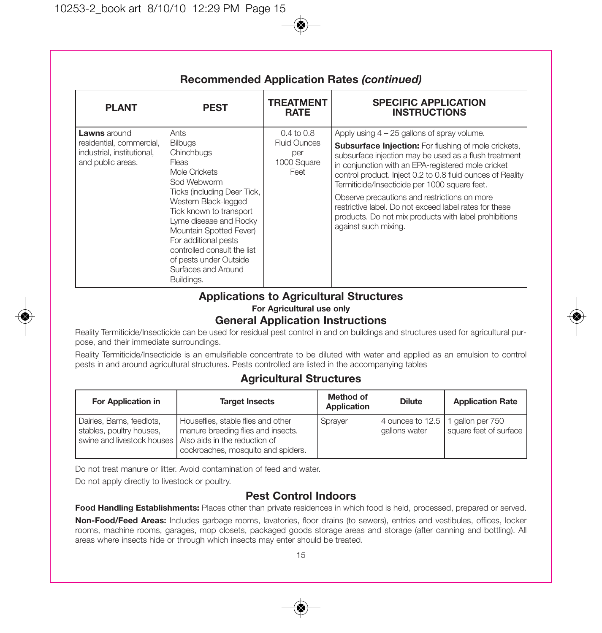| <b>PLANT</b>                                                                                | <b>PEST</b>                                                                                                                                                                                                                                                                                                                                | <b>TREATMENT</b><br><b>RATE</b>                                            | <b>SPECIFIC APPLICATION</b><br><b>INSTRUCTIONS</b>                                                                                                                                                                                                                                                                                                                                                                                                                                                                             |
|---------------------------------------------------------------------------------------------|--------------------------------------------------------------------------------------------------------------------------------------------------------------------------------------------------------------------------------------------------------------------------------------------------------------------------------------------|----------------------------------------------------------------------------|--------------------------------------------------------------------------------------------------------------------------------------------------------------------------------------------------------------------------------------------------------------------------------------------------------------------------------------------------------------------------------------------------------------------------------------------------------------------------------------------------------------------------------|
| Lawns around<br>residential, commercial,<br>industrial, institutional,<br>and public areas. | Ants<br>Bilbugs<br>Chinchbugs<br><b>Fleas</b><br>Mole Crickets<br>Sod Webworm<br>Ticks (including Deer Tick,<br>Western Black-legged<br>Tick known to transport<br>Lyme disease and Rocky<br>Mountain Spotted Fever)<br>For additional pests<br>controlled consult the list<br>of pests under Outside<br>Surfaces and Around<br>Buildings. | $0.4 \text{ to } 0.8$<br><b>Fluid Ounces</b><br>per<br>1000 Square<br>Feet | Apply using $4 - 25$ gallons of spray volume.<br>Subsurface Injection: For flushing of mole crickets,<br>subsurface injection may be used as a flush treatment<br>in conjunction with an EPA-registered mole cricket<br>control product. Inject 0.2 to 0.8 fluid ounces of Reality<br>Termiticide/Insecticide per 1000 square feet.<br>Observe precautions and restrictions on more<br>restrictive label. Do not exceed label rates for these<br>products. Do not mix products with label prohibitions<br>against such mixing. |

**Recommended Application Rates** *(continued)*

## **Applications to Agricultural Structures For Agricultural use only General Application Instructions**

#### Reality Termiticide/Insecticide can be used for residual pest control in and on buildings and structures used for agricultural purpose, and their immediate surroundings.

Reality Termiticide/Insecticide is an emulsifiable concentrate to be diluted with water and applied as an emulsion to control pests in and around agricultural structures. Pests controlled are listed in the accompanying tables

## **Agricultural Structures**

| For Application in                                    | <b>Target Insects</b>                                                                                                                                                        | Method of<br>Application | <b>Dilute</b>                         | <b>Application Rate</b>                  |
|-------------------------------------------------------|------------------------------------------------------------------------------------------------------------------------------------------------------------------------------|--------------------------|---------------------------------------|------------------------------------------|
| Dairies. Barns. feedlots.<br>stables, poultry houses, | Houseflies, stable flies and other<br>manure breeding flies and insects.<br>swine and livestock houses   Also aids in the reduction of<br>cockroaches, mosquito and spiders. | Sprayer                  | 4 ounces to 12.5   1<br>gallons water | gallon per 750<br>square feet of surface |

Do not treat manure or litter. Avoid contamination of feed and water.

Do not apply directly to livestock or poultry.

## **Pest Control Indoors**

**Food Handling Establishments:** Places other than private residences in which food is held, processed, prepared or served.

**Non-Food/Feed Areas:** Includes garbage rooms, lavatories, floor drains (to sewers), entries and vestibules, offices, locker rooms, machine rooms, garages, mop closets, packaged goods storage areas and storage (after canning and bottling). All areas where insects hide or through which insects may enter should be treated.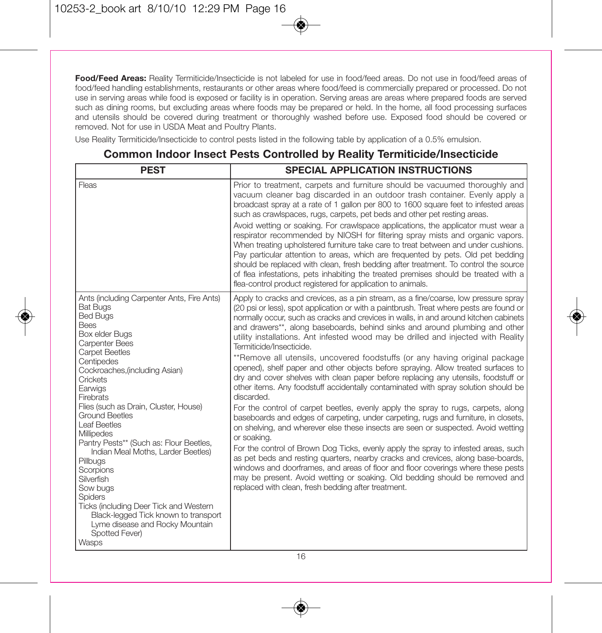**Food/Feed Areas:** Reality Termiticide/Insecticide is not labeled for use in food/feed areas. Do not use in food/feed areas of food/feed handling establishments, restaurants or other areas where food/feed is commercially prepared or processed. Do not use in serving areas while food is exposed or facility is in operation. Serving areas are areas where prepared foods are served such as dining rooms, but excluding areas where foods may be prepared or held. In the home, all food processing surfaces and utensils should be covered during treatment or thoroughly washed before use. Exposed food should be covered or removed. Not for use in USDA Meat and Poultry Plants.

Use Reality Termiticide/Insecticide to control pests listed in the following table by application of a 0.5% emulsion.

| <b>PEST</b>                                                                                                                                                                                                                                                                                                                                                                                                                                                                                                                                                                                                                                                                 | <b>SPECIAL APPLICATION INSTRUCTIONS</b>                                                                                                                                                                                                                                                                                                                                                                                                                                                                                                                                                                                                                                                                                                                                                                                                                                                                                                                                                                                                                                                                                                                                                                                                                                                                                                                                                                                                                                                                                  |
|-----------------------------------------------------------------------------------------------------------------------------------------------------------------------------------------------------------------------------------------------------------------------------------------------------------------------------------------------------------------------------------------------------------------------------------------------------------------------------------------------------------------------------------------------------------------------------------------------------------------------------------------------------------------------------|--------------------------------------------------------------------------------------------------------------------------------------------------------------------------------------------------------------------------------------------------------------------------------------------------------------------------------------------------------------------------------------------------------------------------------------------------------------------------------------------------------------------------------------------------------------------------------------------------------------------------------------------------------------------------------------------------------------------------------------------------------------------------------------------------------------------------------------------------------------------------------------------------------------------------------------------------------------------------------------------------------------------------------------------------------------------------------------------------------------------------------------------------------------------------------------------------------------------------------------------------------------------------------------------------------------------------------------------------------------------------------------------------------------------------------------------------------------------------------------------------------------------------|
| Fleas                                                                                                                                                                                                                                                                                                                                                                                                                                                                                                                                                                                                                                                                       | Prior to treatment, carpets and furniture should be vacuumed thoroughly and<br>vacuum cleaner bag discarded in an outdoor trash container. Evenly apply a<br>broadcast spray at a rate of 1 gallon per 800 to 1600 square feet to infested areas<br>such as crawlspaces, rugs, carpets, pet beds and other pet resting areas.<br>Avoid wetting or soaking. For crawlspace applications, the applicator must wear a<br>respirator recommended by NIOSH for filtering spray mists and organic vapors.<br>When treating upholstered furniture take care to treat between and under cushions.<br>Pay particular attention to areas, which are frequented by pets. Old pet bedding<br>should be replaced with clean, fresh bedding after treatment. To control the source<br>of flea infestations, pets inhabiting the treated premises should be treated with a<br>flea-control product registered for application to animals.                                                                                                                                                                                                                                                                                                                                                                                                                                                                                                                                                                                               |
| Ants (including Carpenter Ants, Fire Ants)<br><b>Bat Bugs</b><br><b>Bed Bugs</b><br><b>Bees</b><br>Box elder Buas<br><b>Carpenter Bees</b><br><b>Carpet Beetles</b><br>Centipedes<br>Cockroaches, (including Asian)<br><b>Crickets</b><br>Earwigs<br><b>Firebrats</b><br>Flies (such as Drain, Cluster, House)<br>Ground Beetles<br>Leaf Beetles<br><b>Millipedes</b><br>Pantry Pests** (Such as: Flour Beetles,<br>Indian Meal Moths, Larder Beetles)<br>Pillbuas<br><b>Scorpions</b><br>Silverfish<br>Sow buas<br>Spiders<br>Ticks (including Deer Tick and Western<br>Black-legged Tick known to transport<br>Lyme disease and Rocky Mountain<br>Spotted Fever)<br>Wasps | Apply to cracks and crevices, as a pin stream, as a fine/coarse, low pressure spray<br>(20 psi or less), spot application or with a paintbrush. Treat where pests are found or<br>normally occur, such as cracks and crevices in walls, in and around kitchen cabinets<br>and drawers**, along baseboards, behind sinks and around plumbing and other<br>utility installations. Ant infested wood may be drilled and injected with Reality<br>Termiticide/Insecticide.<br>**Remove all utensils, uncovered foodstuffs (or any having original package<br>opened), shelf paper and other objects before spraying. Allow treated surfaces to<br>dry and cover shelves with clean paper before replacing any utensils, foodstuff or<br>other items. Any foodstuff accidentally contaminated with spray solution should be<br>discarded.<br>For the control of carpet beetles, evenly apply the spray to rugs, carpets, along<br>baseboards and edges of carpeting, under carpeting, rugs and furniture, in closets,<br>on shelving, and wherever else these insects are seen or suspected. Avoid wetting<br>or soaking.<br>For the control of Brown Dog Ticks, evenly apply the spray to infested areas, such<br>as pet beds and resting quarters, nearby cracks and crevices, along base-boards,<br>windows and doorframes, and areas of floor and floor coverings where these pests<br>may be present. Avoid wetting or soaking. Old bedding should be removed and<br>replaced with clean, fresh bedding after treatment. |

## **Common Indoor Insect Pests Controlled by Reality Termiticide/Insecticide**

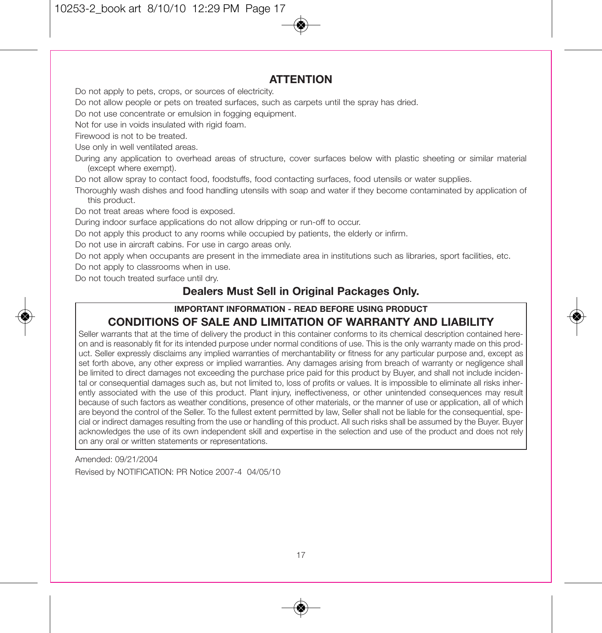## **ATTENTION**

Do not apply to pets, crops, or sources of electricity.

Do not allow people or pets on treated surfaces, such as carpets until the spray has dried.

Do not use concentrate or emulsion in fogging equipment.

Not for use in voids insulated with rigid foam.

Firewood is not to be treated.

Use only in well ventilated areas.

During any application to overhead areas of structure, cover surfaces below with plastic sheeting or similar material (except where exempt).

Do not allow spray to contact food, foodstuffs, food contacting surfaces, food utensils or water supplies.

Thoroughly wash dishes and food handling utensils with soap and water if they become contaminated by application of this product.

Do not treat areas where food is exposed.

During indoor surface applications do not allow dripping or run-off to occur.

Do not apply this product to any rooms while occupied by patients, the elderly or infirm.

Do not use in aircraft cabins. For use in cargo areas only.

Do not apply when occupants are present in the immediate area in institutions such as libraries, sport facilities, etc.

Do not apply to classrooms when in use.

Do not touch treated surface until dry.

## **Dealers Must Sell in Original Packages Only.**

## **IMPORTANT INFORMATION - READ BEFORE USING PRODUCT CONDITIONS OF SALE AND LIMITATION OF WARRANTY AND LIABILITY**

Seller warrants that at the time of delivery the product in this container conforms to its chemical description contained hereon and is reasonably fit for its intended purpose under normal conditions of use. This is the only warranty made on this product. Seller expressly disclaims any implied warranties of merchantability or fitness for any particular purpose and, except as set forth above, any other express or implied warranties. Any damages arising from breach of warranty or negligence shall be limited to direct damages not exceeding the purchase price paid for this product by Buyer, and shall not include incidental or consequential damages such as, but not limited to, loss of profits or values. It is impossible to eliminate all risks inherently associated with the use of this product. Plant injury, ineffectiveness, or other unintended consequences may result because of such factors as weather conditions, presence of other materials, or the manner of use or application, all of which are beyond the control of the Seller. To the fullest extent permitted by law, Seller shall not be liable for the consequential, special or indirect damages resulting from the use or handling of this product. All such risks shall be assumed by the Buyer. Buyer acknowledges the use of its own independent skill and expertise in the selection and use of the product and does not rely on any oral or written statements or representations.

Amended: 09/21/2004

Revised by NOTIFICATION: PR Notice 2007-4 04/05/10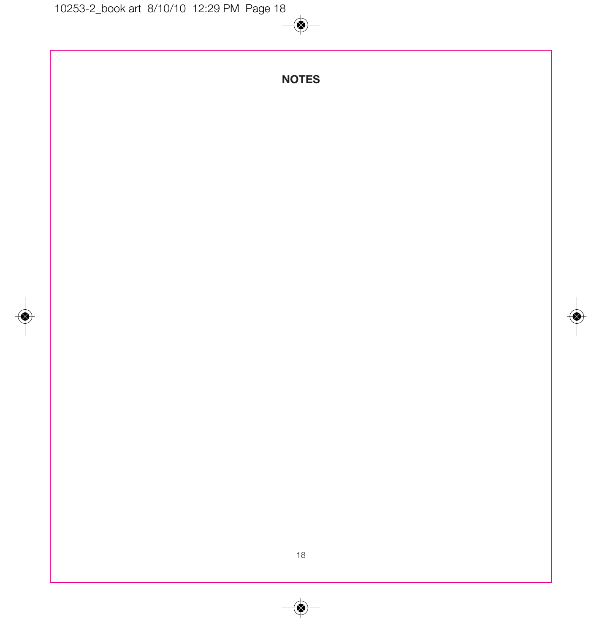

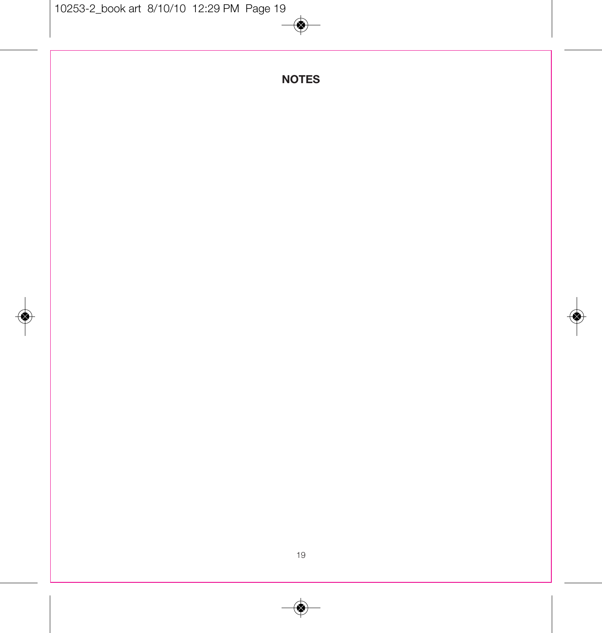

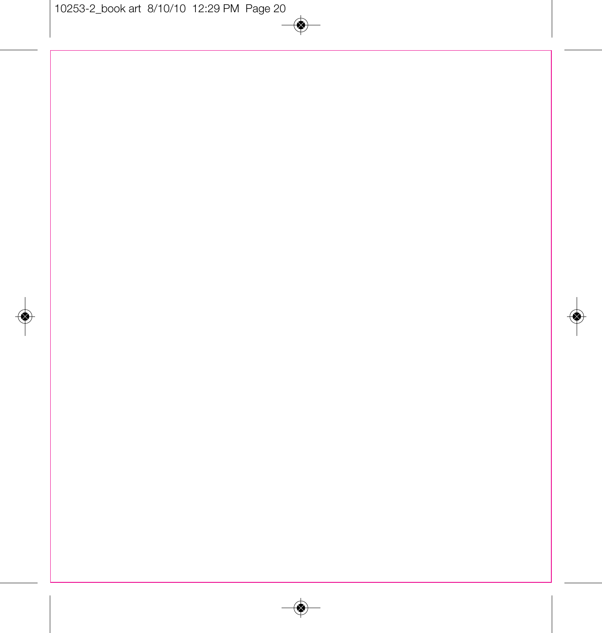